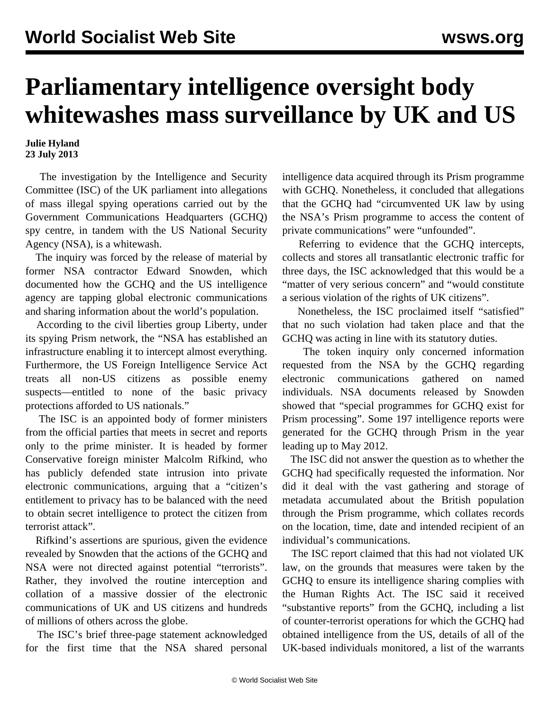## **Parliamentary intelligence oversight body whitewashes mass surveillance by UK and US**

## **Julie Hyland 23 July 2013**

 The investigation by the Intelligence and Security Committee (ISC) of the UK parliament into allegations of mass illegal spying operations carried out by the Government Communications Headquarters (GCHQ) spy centre, in tandem with the US National Security Agency (NSA), is a whitewash.

 The inquiry was forced by the release of material by former NSA contractor Edward Snowden, which documented how the GCHQ and the US intelligence agency are tapping global electronic communications and sharing information about the world's population.

 According to the civil liberties group Liberty, under its spying Prism network, the "NSA has established an infrastructure enabling it to intercept almost everything. Furthermore, the US Foreign Intelligence Service Act treats all non-US citizens as possible enemy suspects—entitled to none of the basic privacy protections afforded to US nationals."

 The ISC is an appointed body of former ministers from the official parties that meets in secret and reports only to the prime minister. It is headed by former Conservative foreign minister Malcolm Rifkind, who has publicly defended state intrusion into private electronic communications, arguing that a "citizen's entitlement to privacy has to be balanced with the need to obtain secret intelligence to protect the citizen from terrorist attack".

 Rifkind's assertions are spurious, given the evidence revealed by Snowden that the actions of the GCHQ and NSA were not directed against potential "terrorists". Rather, they involved the routine interception and collation of a massive dossier of the electronic communications of UK and US citizens and hundreds of millions of others across the globe.

 The ISC's brief three-page statement acknowledged for the first time that the NSA shared personal intelligence data acquired through its Prism programme with GCHQ. Nonetheless, it concluded that allegations that the GCHQ had "circumvented UK law by using the NSA's Prism programme to access the content of private communications" were "unfounded".

 Referring to evidence that the GCHQ intercepts, collects and stores all transatlantic electronic traffic for three days, the ISC acknowledged that this would be a "matter of very serious concern" and "would constitute a serious violation of the rights of UK citizens".

 Nonetheless, the ISC proclaimed itself "satisfied" that no such violation had taken place and that the GCHQ was acting in line with its statutory duties.

 The token inquiry only concerned information requested from the NSA by the GCHQ regarding electronic communications gathered on named individuals. NSA documents released by Snowden showed that "special programmes for GCHQ exist for Prism processing". Some 197 intelligence reports were generated for the GCHQ through Prism in the year leading up to May 2012.

 The ISC did not answer the question as to whether the GCHQ had specifically requested the information. Nor did it deal with the vast gathering and storage of metadata accumulated about the British population through the Prism programme, which collates records on the location, time, date and intended recipient of an individual's communications.

 The ISC report claimed that this had not violated UK law, on the grounds that measures were taken by the GCHQ to ensure its intelligence sharing complies with the Human Rights Act. The ISC said it received "substantive reports" from the GCHQ, including a list of counter-terrorist operations for which the GCHQ had obtained intelligence from the US, details of all of the UK-based individuals monitored, a list of the warrants